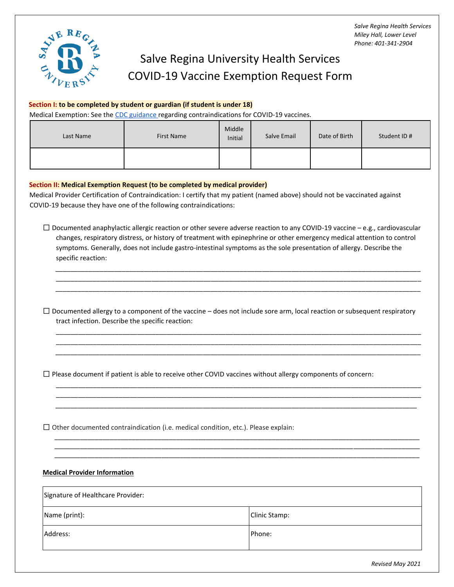

# Salve Regina University Health Services COVID-19 Vaccine Exemption Request Form

#### **Section I: to be completed by student or guardian (if student is under 18)**

Medical Exemption: See th[e CDC guidance](https://www.cdc.gov/coronavirus/2019-ncov/vaccines/recommendations/specific-groups/allergies.html) regarding contraindications for COVID-19 vaccines.

| Last Name | First Name | Middle<br>Initial | Salve Email | Date of Birth | Student ID # |
|-----------|------------|-------------------|-------------|---------------|--------------|
|           |            |                   |             |               |              |

#### **Section II: Medical Exemption Request (to be completed by medical provider)**

Medical Provider Certification of Contraindication: I certify that my patient (named above) should not be vaccinated against COVID-19 because they have one of the following contraindications:

 $\Box$  Documented anaphylactic allergic reaction or other severe adverse reaction to any COVID-19 vaccine – e.g., cardiovascular changes, respiratory distress, or history of treatment with epinephrine or other emergency medical attention to control symptoms. Generally, does not include gastro-intestinal symptoms as the sole presentation of allergy. Describe the specific reaction:

\_\_\_\_\_\_\_\_\_\_\_\_\_\_\_\_\_\_\_\_\_\_\_\_\_\_\_\_\_\_\_\_\_\_\_\_\_\_\_\_\_\_\_\_\_\_\_\_\_\_\_\_\_\_\_\_\_\_\_\_\_\_\_\_\_\_\_\_\_\_\_\_\_\_\_\_\_\_\_\_\_\_\_\_\_\_\_\_\_\_\_\_\_\_\_\_\_\_\_ \_\_\_\_\_\_\_\_\_\_\_\_\_\_\_\_\_\_\_\_\_\_\_\_\_\_\_\_\_\_\_\_\_\_\_\_\_\_\_\_\_\_\_\_\_\_\_\_\_\_\_\_\_\_\_\_\_\_\_\_\_\_\_\_\_\_\_\_\_\_\_\_\_\_\_\_\_\_\_\_\_\_\_\_\_\_\_\_\_\_\_\_\_\_\_\_\_\_\_ \_\_\_\_\_\_\_\_\_\_\_\_\_\_\_\_\_\_\_\_\_\_\_\_\_\_\_\_\_\_\_\_\_\_\_\_\_\_\_\_\_\_\_\_\_\_\_\_\_\_\_\_\_\_\_\_\_\_\_\_\_\_\_\_\_\_\_\_\_\_\_\_\_\_\_\_\_\_\_\_\_\_\_\_\_\_\_\_\_\_\_\_\_\_\_\_\_\_\_

 $\Box$  Documented allergy to a component of the vaccine – does not include sore arm, local reaction or subsequent respiratory tract infection. Describe the specific reaction:

\_\_\_\_\_\_\_\_\_\_\_\_\_\_\_\_\_\_\_\_\_\_\_\_\_\_\_\_\_\_\_\_\_\_\_\_\_\_\_\_\_\_\_\_\_\_\_\_\_\_\_\_\_\_\_\_\_\_\_\_\_\_\_\_\_\_\_\_\_\_\_\_\_\_\_\_\_\_\_\_\_\_\_\_\_\_\_\_\_\_\_\_\_\_\_\_\_\_\_ \_\_\_\_\_\_\_\_\_\_\_\_\_\_\_\_\_\_\_\_\_\_\_\_\_\_\_\_\_\_\_\_\_\_\_\_\_\_\_\_\_\_\_\_\_\_\_\_\_\_\_\_\_\_\_\_\_\_\_\_\_\_\_\_\_\_\_\_\_\_\_\_\_\_\_\_\_\_\_\_\_\_\_\_\_\_\_\_\_\_\_\_\_\_\_\_\_\_\_ \_\_\_\_\_\_\_\_\_\_\_\_\_\_\_\_\_\_\_\_\_\_\_\_\_\_\_\_\_\_\_\_\_\_\_\_\_\_\_\_\_\_\_\_\_\_\_\_\_\_\_\_\_\_\_\_\_\_\_\_\_\_\_\_\_\_\_\_\_\_\_\_\_\_\_\_\_\_\_\_\_\_\_\_\_\_\_\_\_\_\_\_\_\_\_\_\_\_\_

\_\_\_\_\_\_\_\_\_\_\_\_\_\_\_\_\_\_\_\_\_\_\_\_\_\_\_\_\_\_\_\_\_\_\_\_\_\_\_\_\_\_\_\_\_\_\_\_\_\_\_\_\_\_\_\_\_\_\_\_\_\_\_\_\_\_\_\_\_\_\_\_\_\_\_\_\_\_\_\_\_\_\_\_\_\_\_\_\_\_\_\_\_\_\_\_\_\_\_ \_\_\_\_\_\_\_\_\_\_\_\_\_\_\_\_\_\_\_\_\_\_\_\_\_\_\_\_\_\_\_\_\_\_\_\_\_\_\_\_\_\_\_\_\_\_\_\_\_\_\_\_\_\_\_\_\_\_\_\_\_\_\_\_\_\_\_\_\_\_\_\_\_\_\_\_\_\_\_\_\_\_\_\_\_\_\_\_\_\_\_\_\_\_\_\_\_\_\_ \_\_\_\_\_\_\_\_\_\_\_\_\_\_\_\_\_\_\_\_\_\_\_\_\_\_\_\_\_\_\_\_\_\_\_\_\_\_\_\_\_\_\_\_\_\_\_\_\_\_\_\_\_\_\_\_\_\_\_\_\_\_\_\_\_\_\_\_\_\_\_\_\_\_\_\_\_\_\_\_\_\_\_\_\_\_\_\_\_\_\_\_\_\_\_\_\_\_

⬜ Please document if patient is able to receive other COVID vaccines without allergy components of concern:

 $\Box$  Other documented contraindication (i.e. medical condition, etc.). Please explain:

### **Medical Provider Information**

| Signature of Healthcare Provider: |                |  |
|-----------------------------------|----------------|--|
| Name (print):                     | Clinic Stamp:  |  |
| Address:                          | <b>IPhone:</b> |  |

 $\overline{\phantom{a}}$  , and the contribution of the contribution of the contribution of the contribution of the contribution of the contribution of the contribution of the contribution of the contribution of the contribution of the  $\mathcal{L}_\mathcal{L} = \mathcal{L}_\mathcal{L} = \mathcal{L}_\mathcal{L} = \mathcal{L}_\mathcal{L} = \mathcal{L}_\mathcal{L} = \mathcal{L}_\mathcal{L} = \mathcal{L}_\mathcal{L} = \mathcal{L}_\mathcal{L} = \mathcal{L}_\mathcal{L} = \mathcal{L}_\mathcal{L} = \mathcal{L}_\mathcal{L} = \mathcal{L}_\mathcal{L} = \mathcal{L}_\mathcal{L} = \mathcal{L}_\mathcal{L} = \mathcal{L}_\mathcal{L} = \mathcal{L}_\mathcal{L} = \mathcal{L}_\mathcal{L}$  $\overline{\phantom{a}}$  , and the contribution of the contribution of the contribution of the contribution of the contribution of the contribution of the contribution of the contribution of the contribution of the contribution of the